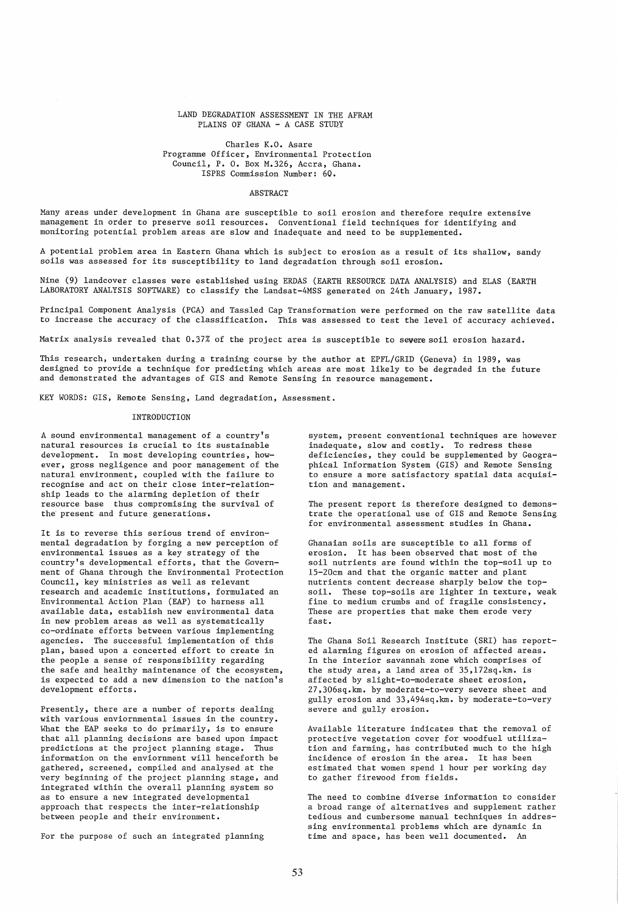## LAND DEGRADATION ASSESSMENT IN THE AFRAM PLAINS OF GHANA  $-$  A CASE STUDY

Charles K.O. Asare Programme Officer, Environmental Protection Council, P. O. Box M.326, Accra, Ghana. ISPRS Commission Number: 60.

## **ABSTRACT**

Many areas under development in Ghana are susceptible to soil erosion and therefore require extensive management in order to preserve soil resources. Conventional field techniques for identifying and monitoring potential problem areas are slow and inadequate and need to be supplemented.

A potential problem area in Eastern Ghana which is subject to erosion as a result of its shallow, sandy soils was assessed for its susceptibility to land degradation through soil erosion.

Nine (9) landcover classes were established using ERDAS (EARTH RESOURCE DATA ANALYSIS) and ELAS (EARTH LABORATORY ANALYSIS SOFTWARE) to classify the Landsat-4MSS generated on 24th January, 1987.

Principal Component Analysis (PCA) and Tassled Cap Transformation were performed on the raw satellite data to increase the accuracy of the classification. This was assessed to test the level of accuracy achieved.

Matrix analysis revealed that 0.37% of the project area is susceptible to severe soil erosion hazard.

This research, undertaken during a training course by the author at EPFL/GRID (Geneva) in 1989, was designed to provide a technique for predicting which areas are most likely to be degraded in the future and demonstrated the advantages of GIS and Remote Sensing in resource management.

KEY WORDS: GIS, Remote Sensing, Land degradation, Assessment.

## INTRODUCTION

A sound environmental management of a country's natural resources is crucial to its sustainable development. In most developing countries, however, gross negligence and poor management of the natural environment, coupled with the failure to recognise and act on their close inter-relationship leads to the alarming depletion of their resource base thus compromising the survival of the present and future generations.

It is to reverse this serious trend of environmental degradation by forging a new perception of environmental issues as a key strategy of the country's developmental efforts, that the Government of Ghana through the Environmental Protection Council, key ministries as well as relevant research and academic institutions, formulated an Environmental Action Plan (EAP) to harness all available data, establish new environmental data in new problem areas as well as systematically co-ordinate efforts between various implementing agencies. The successful implementation of this plan, based upon a concerted effort to create in the people a sense of responsibility regarding the safe and healthy maintenance of the ecosystem, is expected to add a new dimension to the nation's development efforts.

Presently, there are a number of reports dealing with various enviornmental issues in the country. What the EAP seeks to do primarily, is to ensure that all planning decisions are based upon impact predictions at the project planning stage. Thus information on the enviornment will henceforth be gathered, screened. compiled and analysed at the very beginning of the project planning stage, and integrated within the overall planning system so as to ensure a new integrated developmental approach that respects the inter-relationship between people and their environment.

For the purpose of such an integrated planning

system, present conventional techniques are however inadequate, slow and costly. To redress these deficiencies, they could be supplemented by Geographical Information System (GIS) and Remote Sensing to ensure a more satisfactory spatial data acquisition and management.

The present report is therefore designed to demonstrate the operational use of GIS and Remote Sensing for environmental assessment studies in Ghana.

Ghanaian soils are susceptible to all forms of erosion. It has been observed that most of the soil nutrients are found within the top-soil up to 15-20cm and that the organic matter and plant nutrients content decrease sharply below the topsoil. These top-soils are lighter in texture, weak fine to medium crumbs and of fragile consistency. These are properties that make them erode very fast.

The Ghana Soil Research Institute (SRI) has reported alarming figures on erosion of affected areas. In the interior savannah zone which comprises of the study area, a land area of 35,172sq.km. is affected by slight-to-moderate sheet erosion, 27,306sq.km. by moderate-to-very severe sheet and gully erosion and 33,494sq.km. by moderate-to-very severe and gully erosion.

Available literature indicates that the removal of protective vegetation cover for woodfuel utilization and farming, has contributed much to the high incidence of erosion in the area. It has been estimated that women spend 1 hour per working day to gather firewood from fields.

The need to combine diverse information to consider a broad range of alternatives and supplement rather tedious and cumbersome manual techniques in addressing environmental problems which are dynamic in time and space, has been well documented. An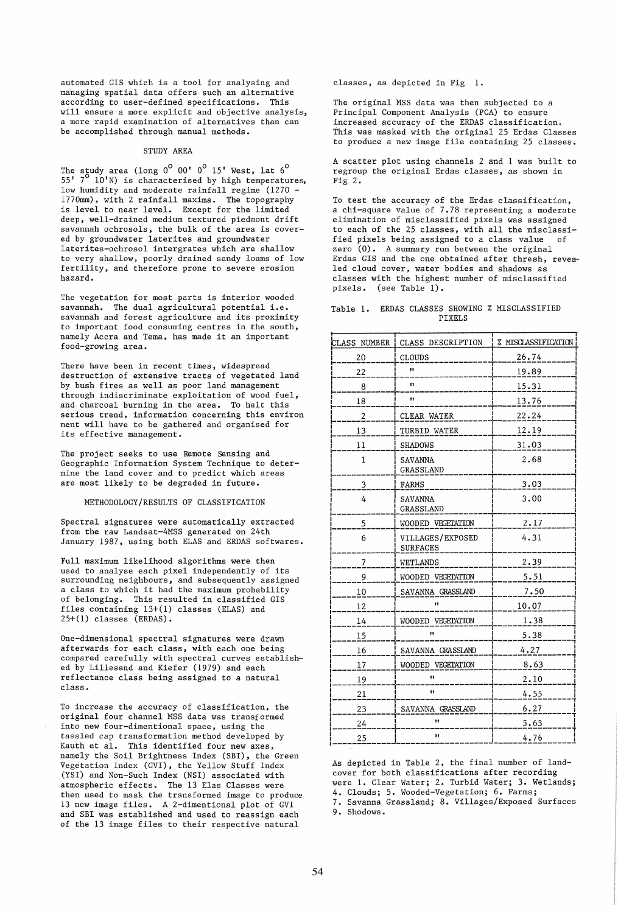automated GIS which is a tool for analysing and managing spatial data offers such an alternative according to user-defined specifications. This will ensure a more explicit and objective analysis, a more rapid examination of alternatives than can be accomplished through manual methods.

# STUDY AREA

The study area (long  $0^{\sf o}$  00'  $0^{\sf o}$  15' West, lat  $6^{\sf o}$ 55'  $7^\circ$  10'N) is characterised by high temperatures, low humidity and moderate rainfall regime (1270 -177Omm) , with 2 rainfall maxima. The topography is level to near level. Except for the limited deep, well-drained medium textured piedmont drift savannah ochrosols, the bulk of the area is covered by groundwater laterites and groundwater laterites-ochrosol intergrates which are shallow to very shallow, poorly drained sandy loams of low fertility, and therefore prone to severe erosion hazard.

The vegetation for most parts is interior wooded savannah. The dual agricultural potential i.e. savannah and forest agriculture and its proximity to important food consuming centres in the south, namely Accra and Tema, has made it an important food-growing area.

There have been in recent times, widespread destruction of extensive tracts of vegetated land by bush fires as well as poor land management through indiscriminate exploitation of wood fuel, and charcoal burning in the area. To halt this serious trend, information concerning this environ ment will have to be gathered and organised for its effective management.

The project seeks to use Remote Sensing and Geographic Information System Technique to determine the land cover and to predict which areas are most likely to be degraded in future.

METHODOLOGY/RESULTS OF CLASSIFICATION

Spectral signatures were automatically extracted from the raw Landsat-4MSS generated on 24th January 1987, using both ELAS and ERDAS softwares.

Full maximum likelihood algorithms were then used to analyse each pixel independently of its surrounding neighbours, and subsequently assigned a class to which it had the maximum probability of belonging. This resulted in classified GIS files containing 13+(1) classes (ELAS) and 25+(1) classes (ERDAS).

One-dimensional spectral signatures were drawn afterwards for each class, with each one being compared carefully with spectral curves established by Lillesand and Kiefer (1979) and each reflectance class being assigned to a natural class.

To increase the accuracy of classification, the original four channel MSS data was transformed into new four-dimentional space, using the tassled cap transformation method developed by Kauth et al. This identified four new axes, namely the Soil Brightness Index (SBI), the Green Vegetation Index (GVI), the Yellow Stuff Index (YSI) and Non-Such Index (NSI) associated with atmospheric effects. The 13 Elas Classes were then used to mask the transformed image to produce 13 new image files. A 2-dimentional plot of GVI and SBI was established and used to reassign each of the 13 image files to their respective natural

classes, as depicted in Fig. 1.

The original MSS data was then subjected to a Principal Component Analysis (PCA) to ensure increased accuracy of the ERDAS classification. This was masked with the original 25 Erdas Classes to produce a new image file containing 25 classes.

A scatter plot using channels 2 and 1 was built to regroup the original Erdas classes, as shown in Fig 2.

To test the accuracy of the Erdas classification, a chi-square value of 7.78 representing a moderate elimination of misclassified pixels was assigned to each of the 25 classes, with all the misclassi-<br>fied pixels being assigned to a class value of fied pixels being assigned to a class value zero (0). A summary run between the original Erdas GIS and the one obtained after thresh, revealed cloud cover, water bodies and shadows as classes with the highest number of misclassified pixels. (see Table 1).

|        |  |  |  |  |  | Table 1. ERDAS CLASSES SHOWING % MISCLASSIFIED |
|--------|--|--|--|--|--|------------------------------------------------|
| PIXELS |  |  |  |  |  |                                                |

| CLASS NUMBER | CLASS DESCRIPTION                   | <b>% MISCLASSIFICATION</b> |
|--------------|-------------------------------------|----------------------------|
| 20           | CLOUDS                              | 26.74                      |
| 22           | Ħ                                   | $-19.89$                   |
| 8            | Ħ                                   | 15.31                      |
| 18           | Ħ                                   | 13.76                      |
| 2            | <b>CLEAR WATER</b>                  | 22.24                      |
| 13           | TURBID WATER                        | 12.19                      |
| 11           | <b>SHADOWS</b>                      | 31.03                      |
| 1            | SAVANNA<br><b>GRASSLAND</b>         | 2.68                       |
| 3            | FARMS                               | 3.03                       |
| 4            | <b>SAVANNA</b><br><b>GRASSLAND</b>  | 3.00                       |
| 5            | WOODED VEGETATION                   | 2.17                       |
| 6            | VILLAGES/EXPOSED<br><b>SURFACES</b> | 4.31                       |
| 7            | WETLANDS                            | 2.39                       |
| 9            | WOODED VEGETATION                   | 5.51                       |
| 10           | SAVANNA GRASSLAND                   | 7.50                       |
| 12           |                                     | 10.07                      |
| 14           | WOODED VEGETATION                   | 1.38                       |
| 15           | 89                                  | 5.38                       |
| 16           | SAVANNA GRASSLAND                   | 4.27                       |
| 17           | WOODED VEGETATION                   | 8.63                       |
| 19           | Ħ                                   | 2.10                       |
| 21           | 11                                  | 4.55                       |
| 23           | SAVANNA GRASSLAND                   | 6.27                       |
| 24           | Ħ                                   | 5.63                       |
| 25           | Ħ                                   | 4.76                       |

As depicted in Table 2, the final number of landcover for both classifications after recording were 1. Clear Water; 2. Turbid Water; 3. Wetlands; 4. Clouds; 5. Wooded-Vegetation; 6. Farms; 7. Savanna Grassland; 8. Villages/Exposed Surfaces

9. Shodows.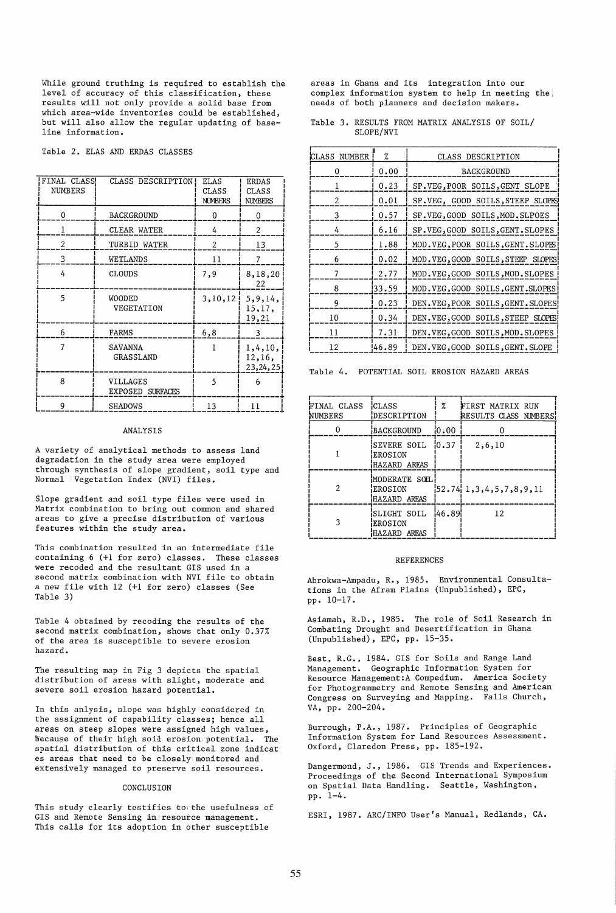While ground truthing is required to establish the level of accuracy of this classification, these results will not only provide a solid base from which area-wide inventories could be established, but will also allow the regular updating of baseline information.

Table 2. ELAS AND ERDAS CLASSES

| FINAL CLASS!   | CLASS DESCRIPTION!                  | <b>ELAS</b>    | <b>ERDAS</b>                  |
|----------------|-------------------------------------|----------------|-------------------------------|
| <b>NUMBERS</b> |                                     | CLASS          | <b>CLASS</b>                  |
|                |                                     | <b>NUMBERS</b> | <b>NUMBERS</b>                |
| $\Omega$       | BACKGROUND                          | 0              | 0                             |
| 1              | CLEAR WATER                         | 4              | 2                             |
| 2              | TURBID WATER                        | $\overline{2}$ | 13                            |
| 3              | WETLANDS                            | 11             | 7                             |
| 4              | CLOUDS                              | 7,9            | 8,18,20<br>22                 |
| 5              | WOODED<br>VEGETATION                | 3, 10, 12      | 5,9,14,<br>15, 17,<br>19,21   |
| 6              | FARMS                               | 6,8            | 3                             |
| 7              | SAVANNA<br><b>GRASSLAND</b>         |                | 1,4,10,<br>12,16,<br>23,24,25 |
| 8              | VILLAGES<br><b>EXPOSED SURFACES</b> | 5              | 6                             |
| 9              | <b>SHADOWS</b>                      | 13             | 11                            |

### **ANALYSIS**

A variety of analytical methods to assess land degradation in the study area were employed through synthesis of slope gradient, soil type and Normal Vegetation Index (NVI) files.

Slope gradient and soil type files were used in Matrix combination to bring out common and shared areas to give a precise distribution of various features within the study area.

This combination resulted in an intermediate file containing 6 (+1 for zero) classes. These classes were recoded and the resultant GIS used in a second matrix combination with NVI file to obtain a new file with 12 (+1 for zero) classes (See  $Table 3)$ 

Table 4 obtained by recoding the results of the second matrix combination, shows that only 0.37% of the area is susceptible to severe erosion hazard.

The resulting map in Fig 3 depicts the spatial distribution of areas with slight, moderate and severe soil erosion hazard potential.

In this anlysis, slope was highly considered in the assignment of capability classes; hence all areas on steep slopes were assigned high values, because of their high soil erosion potential. The spatial distribution of this critical zone indicat es areas that need to be closely monitored and extensively managed to preserve soil resources.

### CONCLUSION

This study clearly testifies to the usefulness of GIS and Remote Sensing in resource management. This calls for its adoption in other susceptible

areas in Ghana and its integration into our complex information system to help in meeting the needs of both planners and decision makers.

Table 3. RESULTS FROM MATRIX ANALYSIS OF SOIL/ SLOPE/NVI

| CLASS<br>NUMBER | %      | CLASS DESCRIPTION                  |
|-----------------|--------|------------------------------------|
| 0               | 0.00   | BACKGROUND                         |
| 1               | 0.23   | SP.VEG, POOR SOILS, GENT SLOPE     |
| 2               | 0.01   | SP.VEG, GOOD SOILS, STEEP SLOPES   |
| 3               | 0.57   | SP.VEG, GOOD SOILS, MOD. SLPOES    |
| 4               | 6.16   | SP.VEG, GOOD SOILS, GENT. SLOPES   |
| 5               | 1.88   | MOD. VEG, POOR SOILS, GENT. SLOPES |
| 6               | 0.02   | MOD. VEG. GOOD SOILS. STEEP SLOPES |
| 7               | 2.77   | MOD. VEG, GOOD SOILS, MOD. SLOPES  |
| 8               | !33.59 | MOD. VEG, GOOD SOILS, GENT. SLOPES |
| 9               | 0.23   | DEN.VEG, POOR SOILS, GENT. SLOPES  |
| 10              | 0.34   | DEN. VEG. GOOD SOILS, STEEP SLOPES |
| 11              | 7.31   | DEN.VEG.GOOD SOILS.MOD.SLOPES      |
| 12              | 46.89  | DEN.VEG, GOOD SOILS, GENT. SLOPE   |

Table 4. POTENTIAL SOIL EROSION HAZARD AREAS

| FINAL CLASS<br>NUMBERS | <b>CLASS</b><br>DESCRIPTION              | %     | FIRST MATRIX RUN<br>RESULTS CLASS NIMBERS! |
|------------------------|------------------------------------------|-------|--------------------------------------------|
|                        | BACKGROUND                               | 10.00 |                                            |
|                        | SEVERE SOIL<br>EROSION<br>HAZARD AREAS   | 10.37 | 2,6,10                                     |
|                        | MODERATE SOIL<br>EROSION<br>HAZARD AREAS |       | $52.74$ $1, 3, 4, 5, 7, 8, 9, 11$          |
|                        | SLIGHT SOIL<br>EROSION<br>HAZARD AREAS   | 46.89 | 12                                         |

#### **REFERENCES**

Abrokwa-Ampadu, R., 1985. Environmental Consultations in the Afram Plains (Unpublished), EPC, pp. 10-17.

Asiamah, R.D., 1985. The role of Soil Research in Combating Drought and Desertification in Ghana (Unpublished), EPC, pp. 15-35.

Best, R.G., 1984. GIS for Soils and Range Land<br>Management. Geographic Information System for Resource Management: A Compedium. America Society for Photogrammetry and Remote Sensing and American Congress on Surveying and Mapping. Falls Church, VA, pp. 200-204.

Burrough, P.A., 1987. Principles of Geographic Information System for Land Resources Assessment. Oxford, Claredon Press, pp. 185-192.

Dangermond, J., 1986. GIS Trends and Experiences. Proceedings of the Second International Symposium on Spatial Data Handling. Seattle, Washington, pp. 1-4.

ESRI, 1987. ARC/INFO User's Manual, Redlands, CA.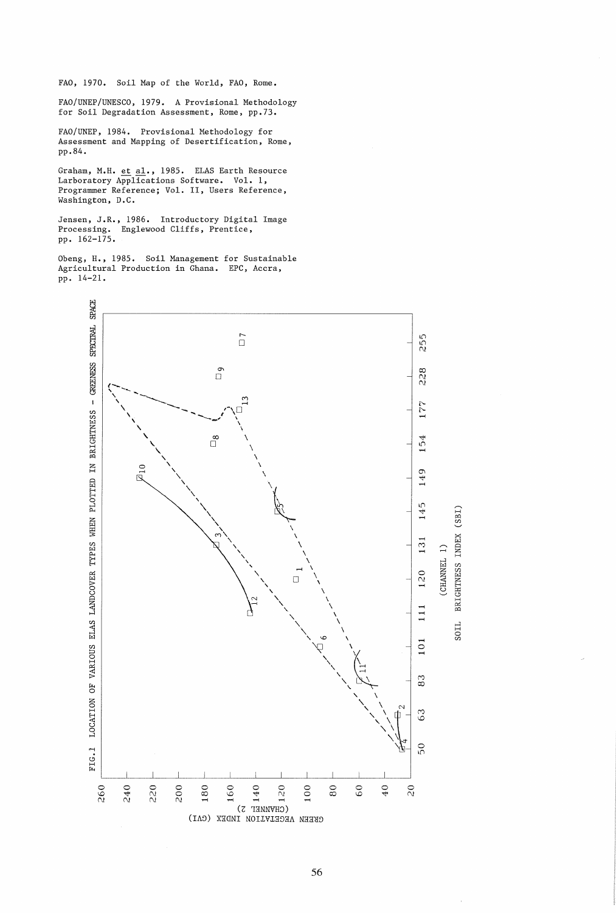FAO, 1970. Soil Map of the World, FAO, Rome.

FAO/UNEP/UNESCO, 1979. A Provisional Methodology for Soil Degradation Assessment, Rome, pp.73.

FAO/UNEP, 1984. Provisional Methodology for Assessment and Mapping of Desertification, Rome, pp.84.

Graham, M.H. et al., 1985. ELAS Earth Resource<br>Larboratory Applications Software. Vol. 1,<br>Programmer Reference; Vol. II, Users Reference, Washington, D.C.

Jensen, J.R., 1986. Introductory Digital Image<br>Processing. Englewood Cliffs, Prentice, pp. 162-175.

Obeng, H., 1985. Soil Management for Sustainable Agricultural Production in Ghana. EPC, Accra, pp. 14-21.